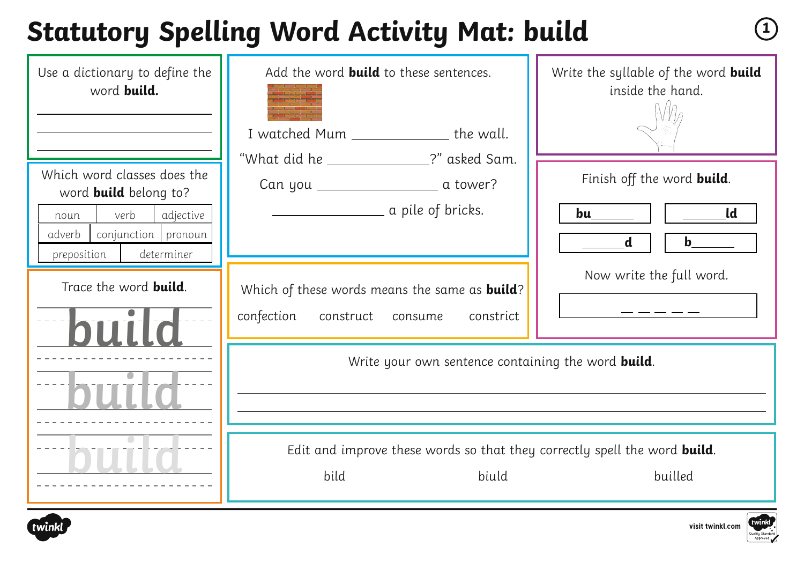#### **Statutory Spelling Word Activity Mat: build <sup>1</sup>**

| Use a dictionary to define the<br>word build.                                                                                                          | Add the word <b>build</b> to these sentences.<br>I watched Mum _______________ the wall.<br>"What did he _______________?" asked Sam. | Write the syllable of the word build<br>inside the hand.                                                                                                                                                                                                                                                                                                                                                 |
|--------------------------------------------------------------------------------------------------------------------------------------------------------|---------------------------------------------------------------------------------------------------------------------------------------|----------------------------------------------------------------------------------------------------------------------------------------------------------------------------------------------------------------------------------------------------------------------------------------------------------------------------------------------------------------------------------------------------------|
| Which word classes does the<br>word <b>build</b> belong to?<br>verb<br>adjective<br>noun<br>conjunction pronoun<br>adverb<br>determiner<br>preposition | <u>___________________</u> a pile of bricks.                                                                                          | Finish off the word build.<br>$\qquad \qquad$ $\qquad$ $\qquad$ $\qquad$ $\qquad$ $\qquad$ $\qquad$ $\qquad$ $\qquad$ $\qquad$ $\qquad$ $\qquad$ $\qquad$ $\qquad$ $\qquad$ $\qquad$ $\qquad$ $\qquad$ $\qquad$ $\qquad$ $\qquad$ $\qquad$ $\qquad$ $\qquad$ $\qquad$ $\qquad$ $\qquad$ $\qquad$ $\qquad$ $\qquad$ $\qquad$ $\qquad$ $\qquad$ $\qquad$ $\qquad$ $\qquad$ $\$<br>bu______<br>$\mathbf{d}$ |
| Trace the word <b>build</b> .<br>hiii                                                                                                                  | Which of these words means the same as <b>build</b> ?<br>confection<br>construct consume<br>constrict                                 | Now write the full word.                                                                                                                                                                                                                                                                                                                                                                                 |
|                                                                                                                                                        | Write your own sentence containing the word <b>build</b> .                                                                            |                                                                                                                                                                                                                                                                                                                                                                                                          |
|                                                                                                                                                        | Edit and improve these words so that they correctly spell the word <b>build</b> .<br>bild<br>biuld                                    | builled                                                                                                                                                                                                                                                                                                                                                                                                  |



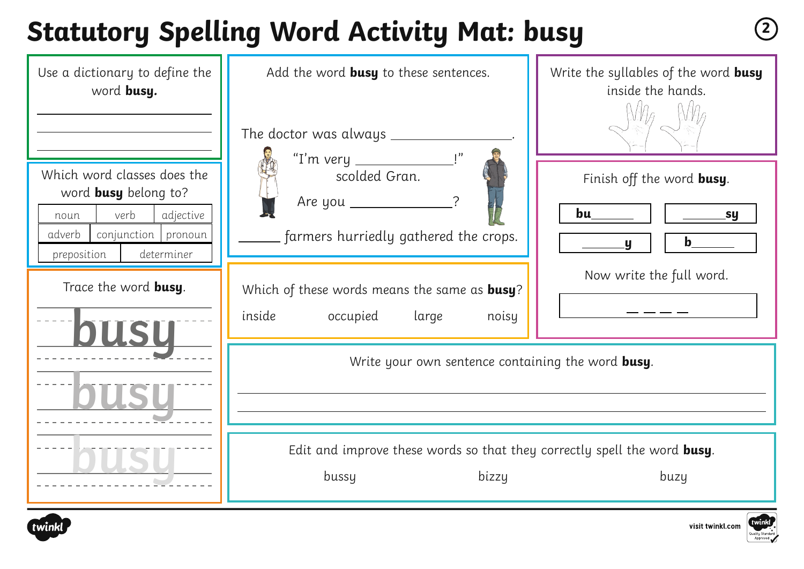# **Statutory Spelling Word Activity Mat: busy <sup>2</sup>**





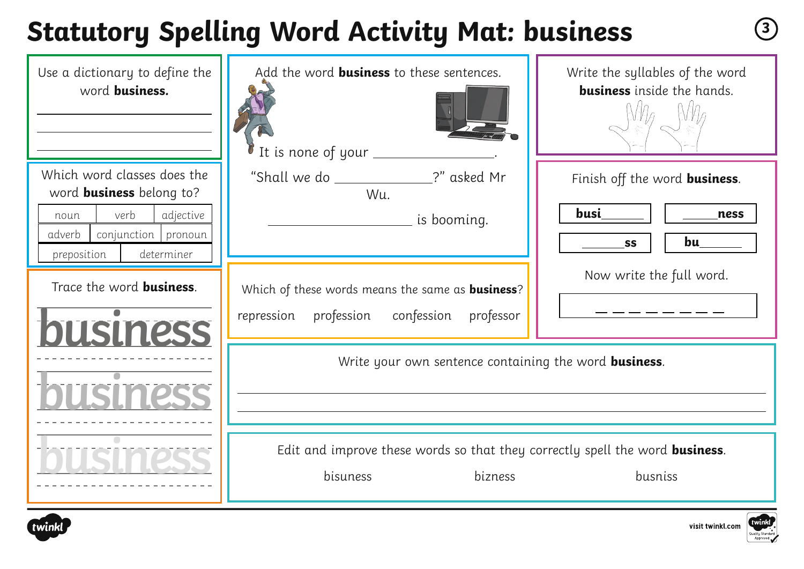# **Statutory Spelling Word Activity Mat: business <sup>3</sup>**

| Use a dictionary to define the<br>word <b>business</b> .                                                                                                  | Add the word <b>business</b> to these sentences.<br>It is none of your                                          | Write the syllables of the word<br><b>business</b> inside the hands.     |
|-----------------------------------------------------------------------------------------------------------------------------------------------------------|-----------------------------------------------------------------------------------------------------------------|--------------------------------------------------------------------------|
| Which word classes does the<br>word <b>business</b> belong to?<br>adjective<br>verb<br>noun<br>adverb<br>conjunction pronoun<br>determiner<br>preposition | "Shall we do _____________?" asked Mr<br>Wu.<br><u>sa is booming.</u><br>List booming.                          | Finish off the word <b>business</b> .<br>busi<br>ness<br>bu<br><b>SS</b> |
| Trace the word <b>business</b> .<br><b>JUSINESS</b>                                                                                                       | Which of these words means the same as <b>business</b> ?<br>confession<br>profession<br>repression<br>professor | Now write the full word.                                                 |
|                                                                                                                                                           | Write your own sentence containing the word <b>business</b> .                                                   |                                                                          |
|                                                                                                                                                           | Edit and improve these words so that they correctly spell the word <b>business</b> .<br>bisuness<br>bizness     | busniss                                                                  |



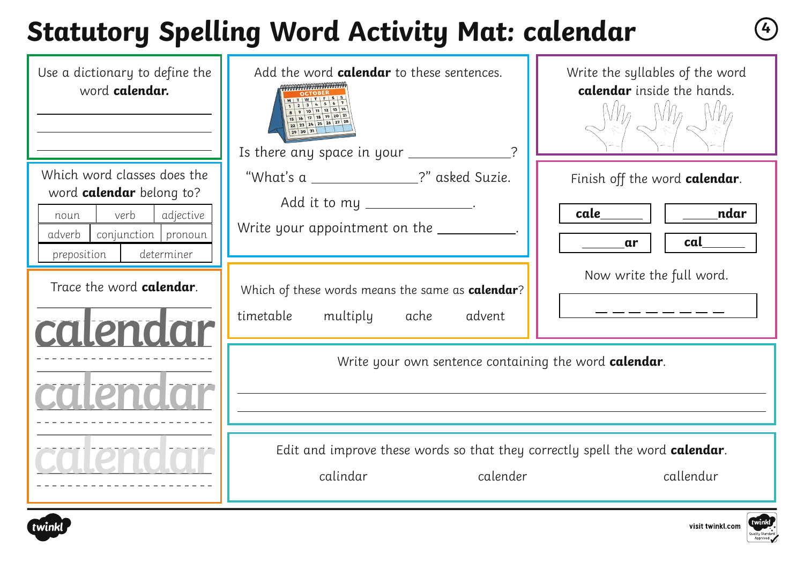# **Statutory Spelling Word Activity Mat: calendar <sup>4</sup>**

| Use a dictionary to define the<br>word calendar.                                                                                                                               | Add the word calendar to these sentences.<br>QQQQQQQYYYYYYYYYYYYYYY<br>9 10 11 12 13 14<br>15 16 17 18 19 20 21<br>22 23 24 25 26 27 28<br>Is there any space in your ____________?                                | Write the syllables of the word<br>calendar inside the hands.                                |
|--------------------------------------------------------------------------------------------------------------------------------------------------------------------------------|--------------------------------------------------------------------------------------------------------------------------------------------------------------------------------------------------------------------|----------------------------------------------------------------------------------------------|
| Which word classes does the<br>word calendar belong to?<br>adjective<br>verb<br>noun<br>conjunction pronoun<br>adverb<br>determiner<br>preposition<br>Trace the word calendar. | "What's a _______________?" asked Suzie.<br>Add it to my ________________.<br>Write your appointment on the __________<br>Which of these words means the same as calendar?<br>multiply ache<br>timetable<br>advent | Finish off the word calendar.<br>_____ ndar<br>cale<br>cal<br>ar<br>Now write the full word. |
| calendar                                                                                                                                                                       | Write your own sentence containing the word calendar.<br>Edit and improve these words so that they correctly spell the word calendar.<br>calender<br>calindar                                                      | callendur                                                                                    |